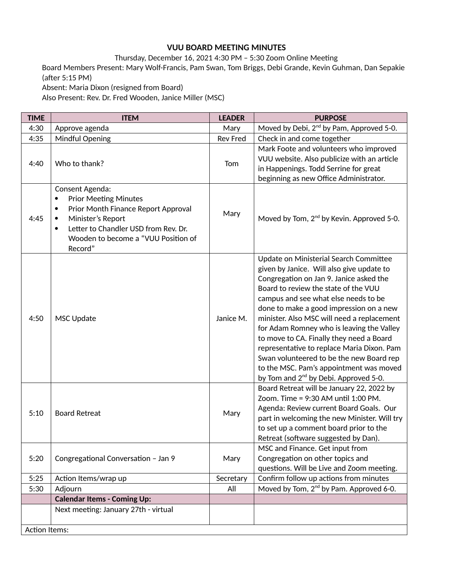## **VUU BOARD MEETING MINUTES**

Thursday, December 16, 2021 4:30 PM – 5:30 Zoom Online Meeting Board Members Present: Mary Wolf-Francis, Pam Swan, Tom Briggs, Debi Grande, Kevin Guhman, Dan Sepakie (after 5:15 PM) Absent: Maria Dixon (resigned from Board)

Also Present: Rev. Dr. Fred Wooden, Janice Miller (MSC)

| <b>TIME</b>   | <b>ITEM</b>                                                                                                                                                                                                                                               | <b>LEADER</b>   | <b>PURPOSE</b>                                                                                                                                                                                                                                                                                                                                                                                                                                                                                                                                                                             |
|---------------|-----------------------------------------------------------------------------------------------------------------------------------------------------------------------------------------------------------------------------------------------------------|-----------------|--------------------------------------------------------------------------------------------------------------------------------------------------------------------------------------------------------------------------------------------------------------------------------------------------------------------------------------------------------------------------------------------------------------------------------------------------------------------------------------------------------------------------------------------------------------------------------------------|
| 4:30          | Approve agenda                                                                                                                                                                                                                                            | Mary            | Moved by Debi, 2 <sup>nd</sup> by Pam, Approved 5-0.                                                                                                                                                                                                                                                                                                                                                                                                                                                                                                                                       |
| 4:35          | Mindful Opening                                                                                                                                                                                                                                           | <b>Rev Fred</b> | Check in and come together                                                                                                                                                                                                                                                                                                                                                                                                                                                                                                                                                                 |
| 4:40          | Who to thank?                                                                                                                                                                                                                                             | Tom             | Mark Foote and volunteers who improved<br>VUU website. Also publicize with an article<br>in Happenings. Todd Serrine for great<br>beginning as new Office Administrator.                                                                                                                                                                                                                                                                                                                                                                                                                   |
| 4:45          | Consent Agenda:<br><b>Prior Meeting Minutes</b><br>$\bullet$<br>Prior Month Finance Report Approval<br>$\bullet$<br>Minister's Report<br>$\bullet$<br>Letter to Chandler USD from Rev. Dr.<br>$\bullet$<br>Wooden to become a "VUU Position of<br>Record" | Mary            | Moved by Tom, 2 <sup>nd</sup> by Kevin. Approved 5-0.                                                                                                                                                                                                                                                                                                                                                                                                                                                                                                                                      |
| 4:50          | <b>MSC Update</b>                                                                                                                                                                                                                                         | Janice M.       | Update on Ministerial Search Committee<br>given by Janice. Will also give update to<br>Congregation on Jan 9. Janice asked the<br>Board to review the state of the VUU<br>campus and see what else needs to be<br>done to make a good impression on a new<br>minister. Also MSC will need a replacement<br>for Adam Romney who is leaving the Valley<br>to move to CA. Finally they need a Board<br>representative to replace Maria Dixon. Pam<br>Swan volunteered to be the new Board rep<br>to the MSC. Pam's appointment was moved<br>by Tom and 2 <sup>nd</sup> by Debi. Approved 5-0. |
| 5:10          | <b>Board Retreat</b>                                                                                                                                                                                                                                      | Mary            | Board Retreat will be January 22, 2022 by<br>Zoom. Time = 9:30 AM until 1:00 PM.<br>Agenda: Review current Board Goals. Our<br>part in welcoming the new Minister. Will try<br>to set up a comment board prior to the<br>Retreat (software suggested by Dan).                                                                                                                                                                                                                                                                                                                              |
| 5:20          | Congregational Conversation - Jan 9                                                                                                                                                                                                                       | Mary            | MSC and Finance. Get input from<br>Congregation on other topics and<br>questions. Will be Live and Zoom meeting.                                                                                                                                                                                                                                                                                                                                                                                                                                                                           |
| 5:25          | Action Items/wrap up                                                                                                                                                                                                                                      | Secretary       | Confirm follow up actions from minutes                                                                                                                                                                                                                                                                                                                                                                                                                                                                                                                                                     |
| 5:30          | Adjourn                                                                                                                                                                                                                                                   | All             | Moved by Tom, 2 <sup>nd</sup> by Pam. Approved 6-0.                                                                                                                                                                                                                                                                                                                                                                                                                                                                                                                                        |
|               | <b>Calendar Items - Coming Up:</b>                                                                                                                                                                                                                        |                 |                                                                                                                                                                                                                                                                                                                                                                                                                                                                                                                                                                                            |
|               | Next meeting: January 27th - virtual                                                                                                                                                                                                                      |                 |                                                                                                                                                                                                                                                                                                                                                                                                                                                                                                                                                                                            |
| Action Items: |                                                                                                                                                                                                                                                           |                 |                                                                                                                                                                                                                                                                                                                                                                                                                                                                                                                                                                                            |